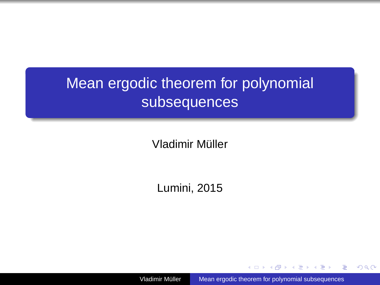# Mean ergodic theorem for polynomial subsequences

Vladimir Müller

Lumini, 2015

Vladimir Müller [Mean ergodic theorem for polynomial subsequences](#page-106-0)

4 0 8 4 € B

<span id="page-0-0"></span>G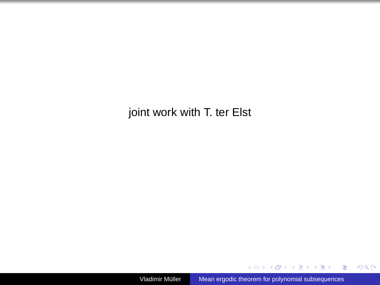joint work with T. ter Elst



メロメメ 倒 メメ きょくきょ

重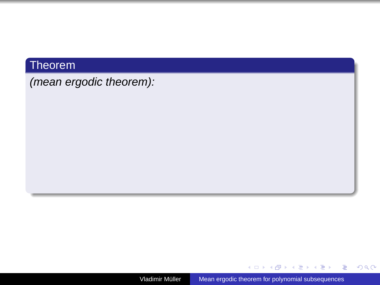(mean ergodic theorem):

Vladimir Müller [Mean ergodic theorem for polynomial subsequences](#page-0-0)

メロメメ 倒 メメ ミメメ ミメ

重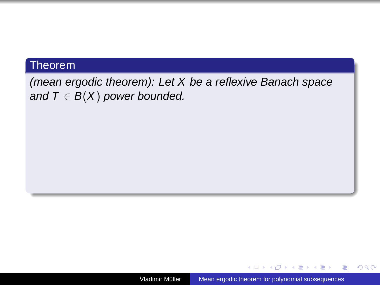(mean ergodic theorem): Let X be a reflexive Banach space and  $T \in B(X)$  power bounded.

イロメ イ押 メイヨメ イヨメ

÷.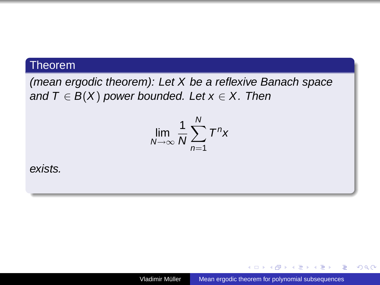(mean ergodic theorem): Let X be a reflexive Banach space and  $T \in B(X)$  power bounded. Let  $x \in X$ . Then

$$
\lim_{N\to\infty}\frac{1}{N}\sum_{n=1}^N T^n x
$$

exists.

◆ロ→ ◆*同→* → ミ→ → ヨ→ → ヨ→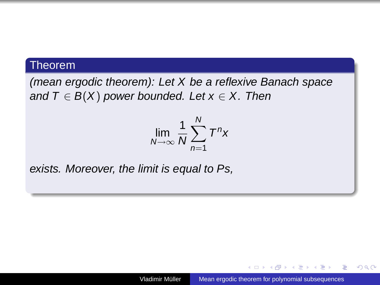(mean ergodic theorem): Let X be a reflexive Banach space and  $T \in B(X)$  power bounded. Let  $x \in X$ . Then

$$
\lim_{N\to\infty}\frac{1}{N}\sum_{n=1}^N T^n x
$$

exists. Moreover, the limit is equal to Ps,

 $\leftarrow$   $\leftarrow$ 

4 重っ

D.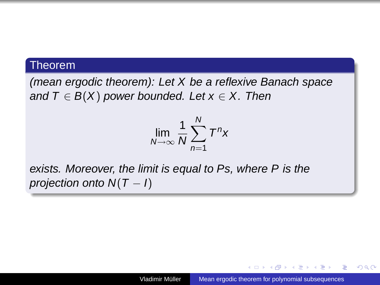(mean ergodic theorem): Let X be a reflexive Banach space and  $T \in B(X)$  power bounded. Let  $x \in X$ . Then

$$
\lim_{N\to\infty}\frac{1}{N}\sum_{n=1}^N T^n x
$$

exists. Moreover, the limit is equal to Ps, where P is the projection onto  $N(T - I)$ 

K 何 ▶ K ヨ ▶ K ヨ ▶ ...

D.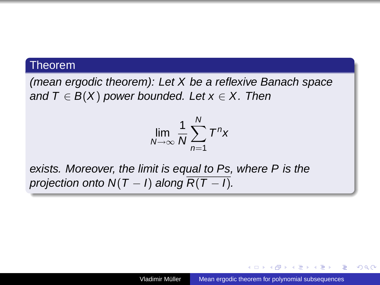(mean ergodic theorem): Let X be a reflexive Banach space and  $T \in B(X)$  power bounded. Let  $x \in X$ . Then

$$
\lim_{N\to\infty}\frac{1}{N}\sum_{n=1}^N T^n x
$$

exists. Moreover, the limit is equal to Ps, where P is the projection onto N(T – I) along  $\overline{R(T-1)}$ .

**≮ロト ⊀伊 ▶ ⊀ ヨ ▶ ⊀ ヨ ▶** 

G.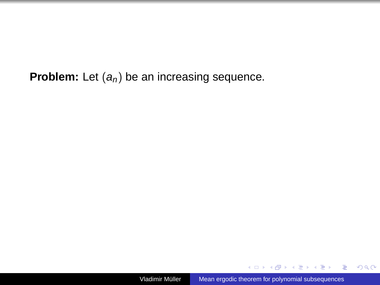**Problem:** Let  $(a_n)$  be an increasing sequence.

4. 0. 3. ←母  $299$ 

B

B

 $\mathcal{A}$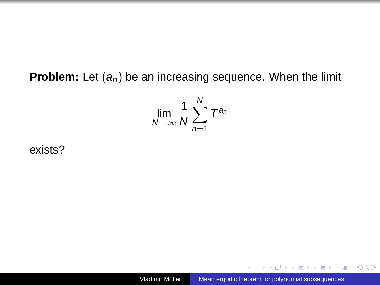**Problem:** Let  $(a_n)$  be an increasing sequence. When the limit

$$
\lim_{N\to\infty}\frac{1}{N}\sum_{n=1}^N T^{a_n}
$$

exists?

Vladimir Müller [Mean ergodic theorem for polynomial subsequences](#page-0-0)

4 0 8 ← 一句  $\mathbf{p}$ 

→ 重き (重き

 $\equiv$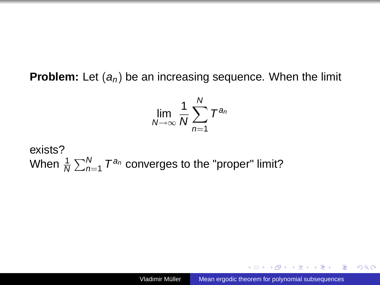**Problem:** Let  $(a_n)$  be an increasing sequence. When the limit

$$
\lim_{N\to\infty}\frac{1}{N}\sum_{n=1}^N T^{a_n}
$$

exists? When  $\frac{1}{N}\sum_{n=1}^N T^{a_n}$  converges to the "proper" limit?

イ押 トメミ トメミ トーミ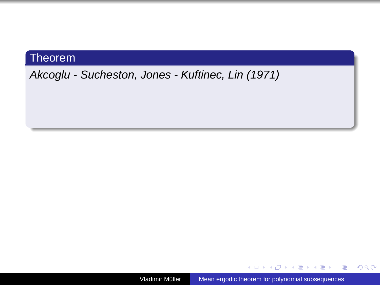## Akcoglu - Sucheston, Jones - Kuftinec, Lin (1971)

Vladimir Müller [Mean ergodic theorem for polynomial subsequences](#page-0-0)

 $4$  ロ }  $4$   $6$  }  $4$   $\pm$  }  $4$   $\pm$  }

÷.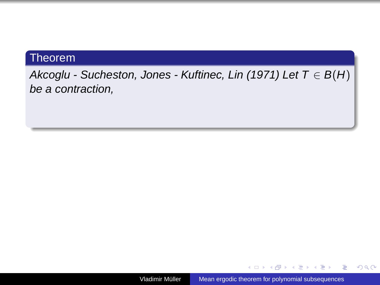Akcoglu - Sucheston, Jones - Kuftinec, Lin (1971) Let  $T \in B(H)$ be a contraction,

イロメ イ押 メイヨメ イヨメ

÷.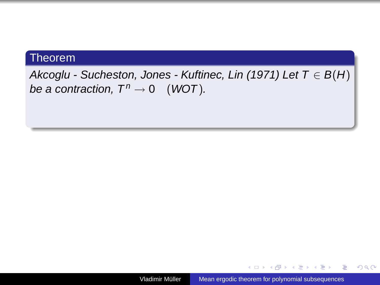Akcoglu - Sucheston, Jones - Kuftinec, Lin (1971) Let  $T \in B(H)$ be a contraction,  $T^n \to 0 \quad (WOT)$ .

KOD KAP KED KED E YA G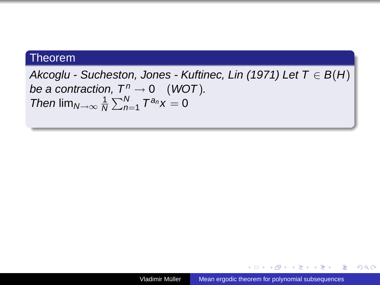Akcoglu - Sucheston, Jones - Kuftinec, Lin (1971) Let  $T \in B(H)$ be a contraction,  $T^n \to 0$  (WOT). Then lim $_{N\rightarrow\infty}$   $\frac{1}{N}$  $\frac{1}{N}\sum_{n=1}^N\mathsf{T}^{a_n}x=0$ 

◆ ロ ▶ ◆ 伊 ▶ ◆ ヨ ▶ → ヨ ▶ │ ヨ │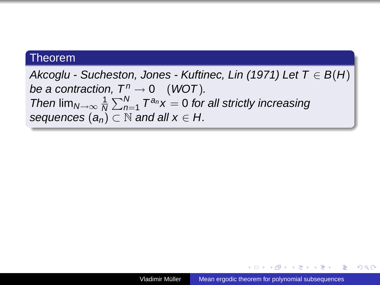Akcoglu - Sucheston, Jones - Kuftinec, Lin (1971) Let  $T \in B(H)$ be a contraction,  $T^n \to 0$  (WOT). Then lim $_{N\rightarrow\infty}$   $\frac{1}{N}$  $\frac{1}{N}\sum_{n=1}^N\mathsf{T}^{a_n}\mathsf{x}=0$  for all strictly increasing sequences  $(a_n) \subset \mathbb{N}$  and all  $x \in H$ .

イロメ イ部 メイヨメ イヨメーヨー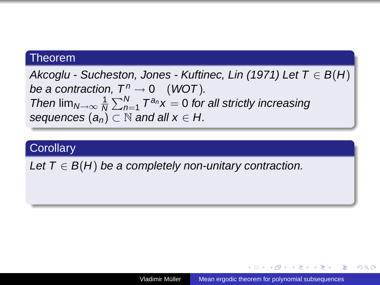Akcoglu - Sucheston, Jones - Kuftinec, Lin (1971) Let  $T \in B(H)$ be a contraction,  $T^n \to 0$  (WOT). Then lim $_{N\rightarrow\infty}$   $\frac{1}{N}$  $\frac{1}{N}\sum_{n=1}^N\mathsf{T}^{a_n}\mathsf{x}=0$  for all strictly increasing sequences  $(a_n) \subset \mathbb{N}$  and all  $x \in H$ .

#### **Corollary**

Let  $T \in B(H)$  be a completely non-unitary contraction.

◆ ロ ▶ → 伊 ▶ → ヨ ▶ → ヨ ▶ → ヨ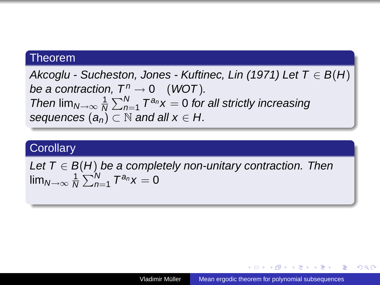Akcoglu - Sucheston, Jones - Kuftinec, Lin (1971) Let  $T \in B(H)$ be a contraction,  $T^n \to 0$  (WOT). Then lim $_{N\rightarrow\infty}$   $\frac{1}{N}$  $\frac{1}{N}\sum_{n=1}^N\mathsf{T}^{a_n}\mathsf{x}=0$  for all strictly increasing sequences  $(a_n) \subset \mathbb{N}$  and all  $x \in H$ .

#### **Corollary**

Let  $\mathcal{T} \in \mathcal{B}(\mathcal{H})$  be a completely non-unitary contraction. Then lim $_{N\rightarrow\infty}\frac{1}{N}$  $\frac{1}{N}\sum_{n=1}^N T^{a_n}x=0$ 

◆ ロ ▶ → 伊 ▶ → ヨ ▶ → ヨ ▶ → ヨ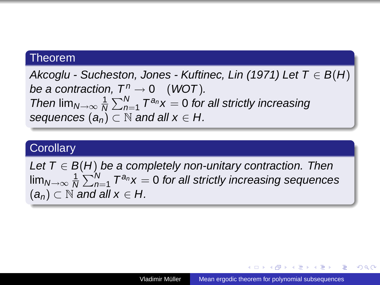Akcoglu - Sucheston, Jones - Kuftinec, Lin (1971) Let  $T \in B(H)$ be a contraction,  $T^n \to 0$  (WOT). Then lim $_{N\rightarrow\infty}$   $\frac{1}{N}$  $\frac{1}{N}\sum_{n=1}^N\mathsf{T}^{a_n}\mathsf{x}=0$  for all strictly increasing sequences  $(a_n) \subset \mathbb{N}$  and all  $x \in H$ .

#### **Corollary**

Let  $T \in B(H)$  be a completely non-unitary contraction. Then lim $_{N\rightarrow\infty}\frac{1}{N}$  $\frac{1}{N}\sum_{n=1}^N T^{a_n}\mathsf{x}=0$  for all strictly increasing sequences  $(a_n) \subset \mathbb{N}$  and all  $x \in H$ .

◆ ロ ▶ → 伊 ▶ → ヨ ▶ → ヨ ▶ → ヨ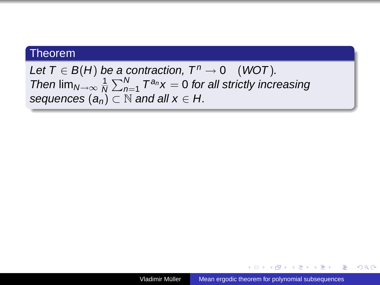Let  $T \in B(H)$  be a contraction,  $T^n \to 0$  (WOT). Then lim $_{N\rightarrow\infty}$   $\frac{1}{N}$  $\frac{1}{N}\sum_{n=1}^N\mathsf{T}^{a_n}\mathsf{x}=0$  for all strictly increasing sequences  $(a_n) \subset \mathbb{N}$  and all  $x \in H$ .

イロト イ押 トイヨ トイヨ トーヨー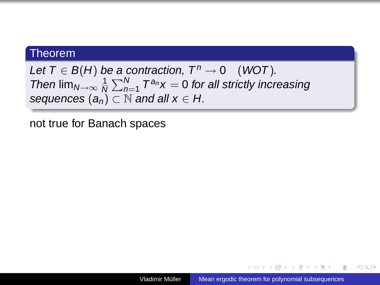Let  $T \in B(H)$  be a contraction,  $T^n \to 0$  (WOT). Then lim $_{N\rightarrow\infty}$   $\frac{1}{N}$  $\frac{1}{N}\sum_{n=1}^N\mathsf{T}^{a_n}\mathsf{x}=0$  for all strictly increasing sequences  $(a_n) \subset \mathbb{N}$  and all  $x \in H$ .

not true for Banach spaces

イロン イ押ン イヨン イヨン 一重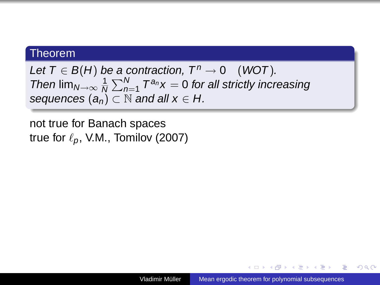Let  $T \in B(H)$  be a contraction,  $T^n \to 0$  (WOT). Then lim $_{N\rightarrow\infty}$   $\frac{1}{N}$  $\frac{1}{N}\sum_{n=1}^N\mathsf{T}^{a_n}\mathsf{x}=0$  for all strictly increasing sequences  $(a_n) \subset \mathbb{N}$  and all  $x \in H$ .

not true for Banach spaces true for  $\ell_p$ , V.M., Tomilov (2007)

K ロ ▶ K 御 ▶ K 君 ▶ K 君 ▶ ...

B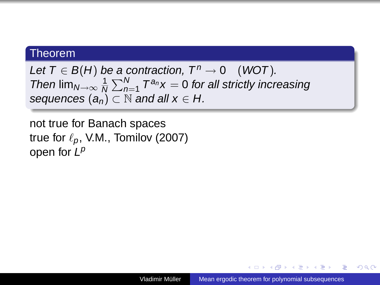Let  $T \in B(H)$  be a contraction,  $T^n \to 0$  (WOT). Then lim $_{N\rightarrow\infty}$   $\frac{1}{N}$  $\frac{1}{N}\sum_{n=1}^N\mathsf{T}^{a_n}\mathsf{x}=0$  for all strictly increasing sequences  $(a_n) \subset \mathbb{N}$  and all  $x \in H$ .

not true for Banach spaces true for  $\ell_p$ , V.M., Tomilov (2007) open for  $L^p$ 

K ロ ▶ K 御 ▶ K 君 ▶ K 君 ▶ ...

B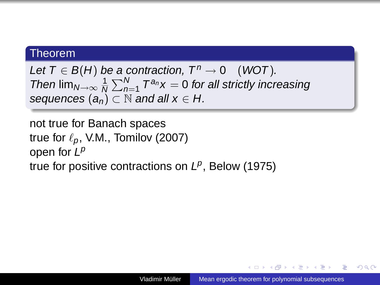Let  $T \in B(H)$  be a contraction,  $T^n \rightarrow 0$  (WOT). Then lim $_{N\rightarrow\infty}$   $\frac{1}{N}$  $\frac{1}{N}\sum_{n=1}^N\mathsf{T}^{a_n}\mathsf{x}=0$  for all strictly increasing sequences  $(a_n) \subset \mathbb{N}$  and all  $x \in H$ .

not true for Banach spaces true for  $\ell_p$ , V.M., Tomilov (2007) open for  $L^p$ true for positive contractions on  $L^p$ , Below (1975)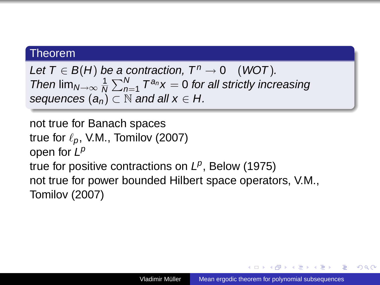Let  $T \in B(H)$  be a contraction,  $T^n \rightarrow 0$  (WOT). Then lim $_{N\rightarrow\infty}$   $\frac{1}{N}$  $\frac{1}{N}\sum_{n=1}^N\mathsf{T}^{a_n}\mathsf{x}=0$  for all strictly increasing sequences  $(a_n) \subset \mathbb{N}$  and all  $x \in H$ .

not true for Banach spaces true for  $\ell_p$ , V.M., Tomilov (2007) open for  $L^p$ true for positive contractions on  $L^p$ , Below (1975) not true for power bounded Hilbert space operators, V.M., Tomilov (2007)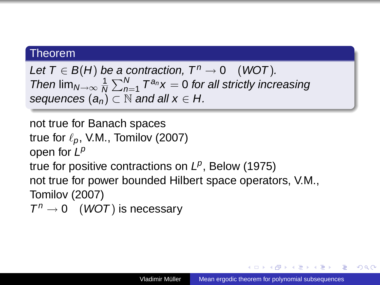Let  $T \in B(H)$  be a contraction,  $T^n \rightarrow 0$  (WOT). Then lim $_{N\rightarrow\infty}$   $\frac{1}{N}$  $\frac{1}{N}\sum_{n=1}^N\mathsf{T}^{a_n}\mathsf{x}=0$  for all strictly increasing sequences  $(a_n) \subset \mathbb{N}$  and all  $x \in H$ .

not true for Banach spaces true for  $\ell_p$ , V.M., Tomilov (2007) open for  $L^p$ true for positive contractions on  $L^p$ , Below (1975) not true for power bounded Hilbert space operators, V.M., Tomilov (2007)  $T^n \to 0$  (*WOT*) is necessary

K 何 ▶ K ヨ ▶ K ヨ ▶ ...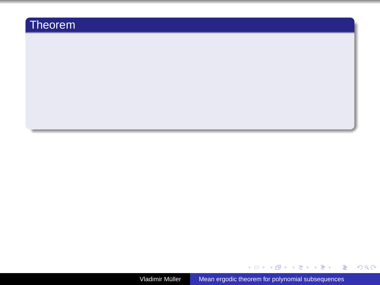Vladimir Müller [Mean ergodic theorem for polynomial subsequences](#page-0-0)

K ロ > K 御 > K ミ > K ミ > 「ミ → の Q (V)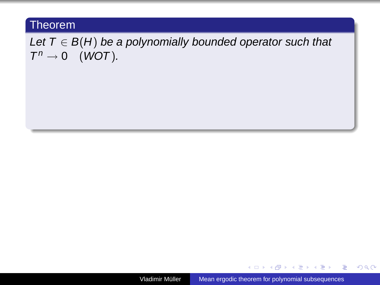## Let  $T \in B(H)$  be a polynomially bounded operator such that  $T^n \to 0$  (WOT).

Vladimir Müller [Mean ergodic theorem for polynomial subsequences](#page-0-0)

イロン イ押ン イミン イヨン ニヨー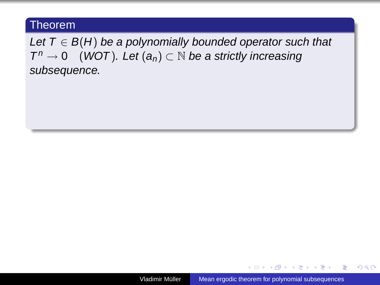Let  $T \in B(H)$  be a polynomially bounded operator such that  $T^n \to 0$  (WOT). Let  $(a_n) \subset \mathbb{N}$  be a strictly increasing subsequence.

イロン イ押ン イヨン イヨン 一重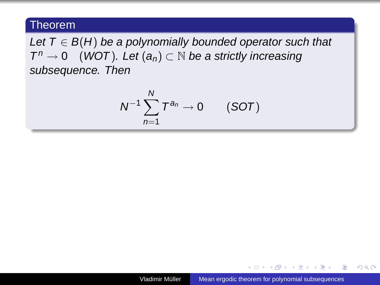Let  $T \in B(H)$  be a polynomially bounded operator such that  $T^n \to 0$  (WOT). Let  $(a_n) \subset \mathbb{N}$  be a strictly increasing subsequence. Then

$$
N^{-1}\sum_{n=1}^N T^{a_n}\to 0\qquad (SOT)
$$

∢ □ ▶ к 何 ▶

医电子 化重子

÷.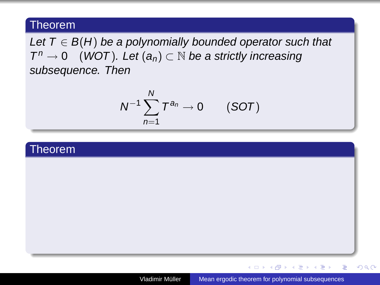Let  $T \in B(H)$  be a polynomially bounded operator such that  $T^n \to 0$  (WOT). Let  $(a_n) \subset \mathbb{N}$  be a strictly increasing subsequence. Then

$$
N^{-1}\sum_{n=1}^N T^{a_n}\to 0\qquad (SOT)
$$

#### **Theorem**

Vladimir Müller [Mean ergodic theorem for polynomial subsequences](#page-0-0)

( □ ) ( f )

 $\equiv$ 

 $\rightarrow$  3  $\pm$  3  $\rightarrow$ 

Ξ.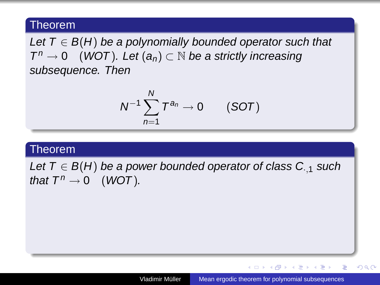Let  $T \in B(H)$  be a polynomially bounded operator such that  $T^n \to 0$  (WOT). Let  $(a_n) \subset \mathbb{N}$  be a strictly increasing subsequence. Then

$$
N^{-1}\sum_{n=1}^N T^{a_n}\to 0\qquad (SOT)
$$

#### Theorem

Let  $T \in B(H)$  be a power bounded operator of class  $C_{11}$  such that  $T^n \to 0$  (WOT).

( □ ) ( f )

 $\equiv$ 

→ 重→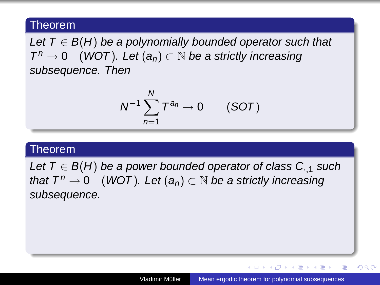Let  $T \in B(H)$  be a polynomially bounded operator such that  $T^n \to 0$  (WOT). Let  $(a_n) \subset \mathbb{N}$  be a strictly increasing subsequence. Then

$$
N^{-1}\sum_{n=1}^N T^{a_n}\to 0\qquad\text{(SOT)}
$$

#### Theorem

Let  $T \in B(H)$  be a power bounded operator of class C<sub>.1</sub> such that  $T^n \to 0$  (WOT). Let  $(a_n) \subset \mathbb{N}$  be a strictly increasing subsequence.

( □ ) ( f )

 $\equiv$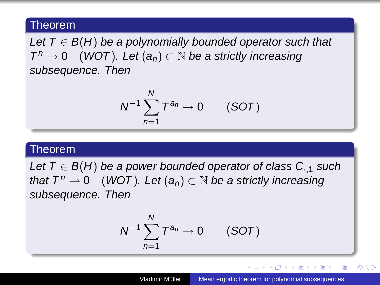Let  $T \in B(H)$  be a polynomially bounded operator such that  $T^n \to 0$  (WOT). Let  $(a_n) \subset \mathbb{N}$  be a strictly increasing subsequence. Then

$$
N^{-1}\sum_{n=1}^N T^{a_n}\to 0\qquad\text{(SOT)}
$$

#### Theorem

Let  $T \in B(H)$  be a power bounded operator of class C<sub>.1</sub> such that  $T^n \to 0$  (WOT). Let  $(a_n) \subset \mathbb{N}$  be a strictly increasing subsequence. Then

$$
N^{-1}\sum_{n=1}^N T^{a_n}\to 0\qquad \text{(SOT)}
$$

( □ ) ( f )

B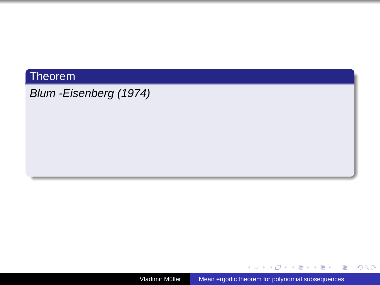Blum -Eisenberg (1974)



メロメメ 倒 メメ ミメメ ミメ

 $\mathbb R$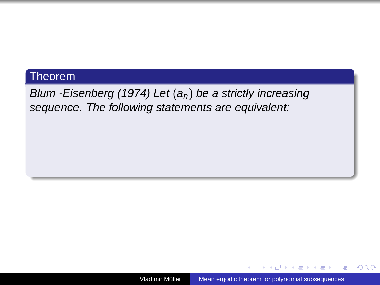Blum -Eisenberg (1974) Let  $(a_n)$  be a strictly increasing sequence. The following statements are equivalent:



4 0 8 4 间 ÷.

G.

 $2990$ 

B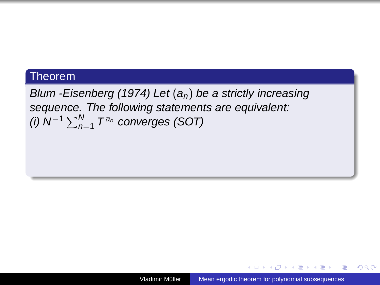Blum -Eisenberg (1974) Let  $(a_n)$  be a strictly increasing sequence. The following statements are equivalent: (i) N<sup>-1</sup>  $\sum_{n=1}^{N} T^{a_n}$  converges (SOT)

モニー・モン イミン イヨン エミ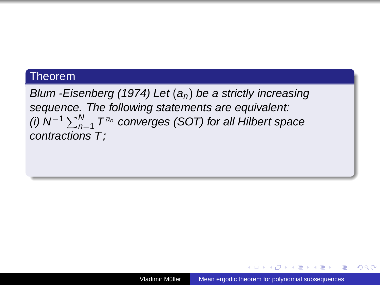Blum -Eisenberg (1974) Let  $(a_n)$  be a strictly increasing sequence. The following statements are equivalent: (i) N<sup>-1</sup>  $\sum_{n=1}^{N}$  T<sup>an</sup> converges (SOT) for all Hilbert space contractions T ;

イロン イ押ン イヨン イヨン 一重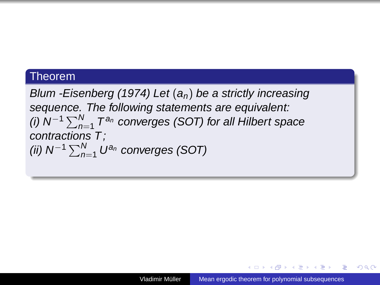Blum -Eisenberg (1974) Let  $(a_n)$  be a strictly increasing sequence. The following statements are equivalent: (i) N<sup>-1</sup>  $\sum_{n=1}^{N}$  T<sup>an</sup> converges (SOT) for all Hilbert space contractions T; (ii) N $^{-1}\sum_{n=1}^N U^{a_n}$  converges (SOT)

イロト イ押 トイヨ トイヨ トーヨー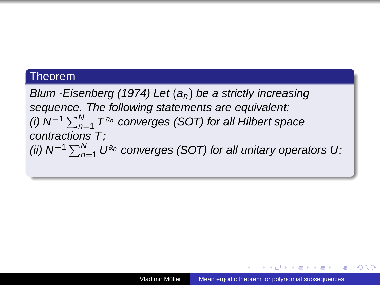Blum -Eisenberg (1974) Let  $(a_n)$  be a strictly increasing sequence. The following statements are equivalent: (i) N<sup>-1</sup>  $\sum_{n=1}^{N}$  T<sup>an</sup> converges (SOT) for all Hilbert space contractions T ; (ii) N $^{-1}\sum_{n=1}^N U^{a_n}$  converges (SOT) for all unitary operators U;

イロト イ押 トイヨ トイヨ トーヨー

 $QQ$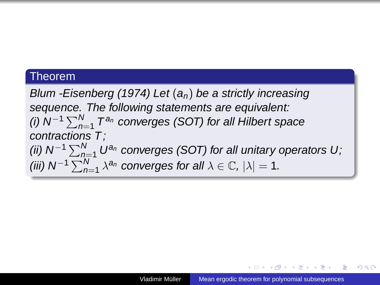Blum -Eisenberg (1974) Let  $(a_n)$  be a strictly increasing sequence. The following statements are equivalent: (i) N<sup>-1</sup>  $\sum_{n=1}^{N}$  T<sup>an</sup> converges (SOT) for all Hilbert space contractions T ; (ii) N $^{-1}$   $\sum_{n=1}^{N}$  Uªn converges (SOT) for all unitary operators U; (iii)  $N^{-1} \sum_{n=1}^{N} \lambda^{a_n}$  converges for all  $\lambda \in \mathbb{C}$ ,  $|\lambda| = 1$ .

イロト イ押 トイヨ トイヨ トーヨー

 $QQ$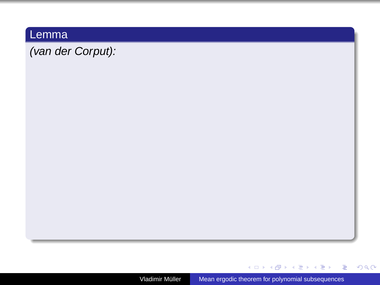(van der Corput):

イロトメ 御 トメ 君 トメ 君 トー 君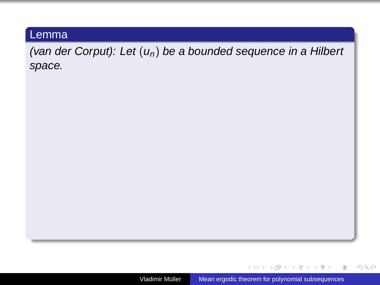(van der Corput): Let  $(u_n)$  be a bounded sequence in a Hilbert space.

イロト イ押 トイヨ トイヨ トー

÷.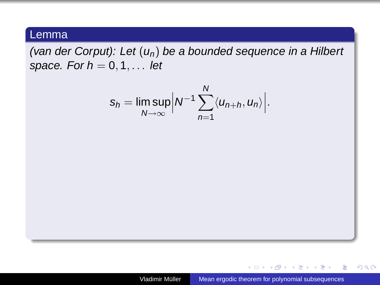(van der Corput): Let  $(u_n)$  be a bounded sequence in a Hilbert space. For  $h = 0, 1, \ldots$  let

$$
s_h = \limsup_{N \to \infty} \Big| N^{-1} \sum_{n=1}^N \langle u_{n+h}, u_n \rangle \Big|.
$$

**K ロ ▶ K 何 ▶ K ヨ ▶ K ヨ ▶** 

 $\Rightarrow$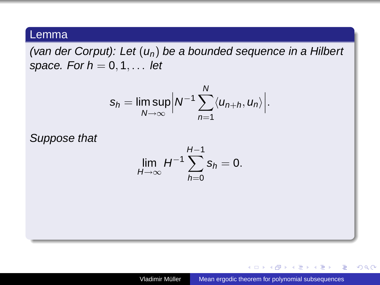(van der Corput): Let  $(u_n)$  be a bounded sequence in a Hilbert space. For  $h = 0, 1, \ldots$  let

$$
s_h = \limsup_{N \to \infty} \left| N^{-1} \sum_{n=1}^N \langle u_{n+h}, u_n \rangle \right|.
$$

Suppose that

$$
\lim_{H\to\infty}H^{-1}\sum_{h=0}^{H-1}s_h=0.
$$

**K ロ ▶ K 何 ▶ K ヨ ▶ K ヨ ▶** 

 $\Rightarrow$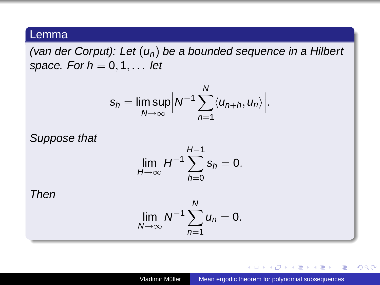(van der Corput): Let  $(u_n)$  be a bounded sequence in a Hilbert space. For  $h = 0, 1, \ldots$  let

$$
s_h = \limsup_{N \to \infty} \left| N^{-1} \sum_{n=1}^N \langle u_{n+h}, u_n \rangle \right|.
$$

Suppose that

$$
\lim_{H\to\infty}H^{-1}\sum_{h=0}^{H-1}s_h=0.
$$

Then

$$
\lim_{N\to\infty}N^{-1}\sum_{n=1}^N u_n=0.
$$

**K ロ ▶ K 何 ▶ K ヨ ▶ K ヨ ▶** 

 $\Rightarrow$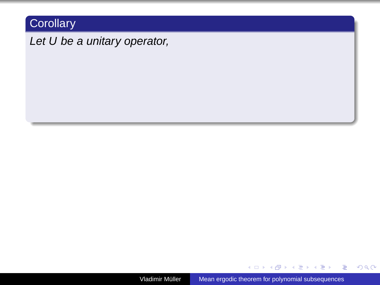Let U be a unitary operator,

Vladimir Müller [Mean ergodic theorem for polynomial subsequences](#page-0-0)

 $4$  ロ }  $4$   $6$  }  $4$   $\pm$  }  $4$   $\pm$  }

重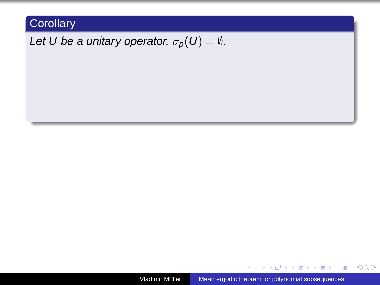# Let U be a unitary operator,  $\sigma_p(U) = \emptyset$ .

Vladimir Müller [Mean ergodic theorem for polynomial subsequences](#page-0-0)

 $4$  ロ }  $4$   $6$  }  $4$   $\pm$  }  $4$   $\pm$  }

÷.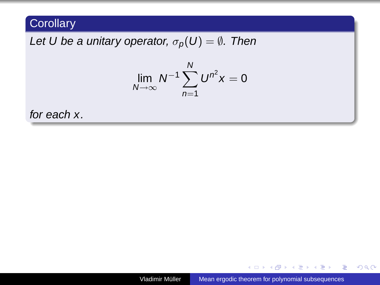Let U be a unitary operator,  $\sigma_p(U) = \emptyset$ . Then

$$
\lim_{N\to\infty}N^{-1}\sum_{n=1}^N U^{n^2}x=0
$$

for each x.

イロト イ押 トイヨト イヨト 一重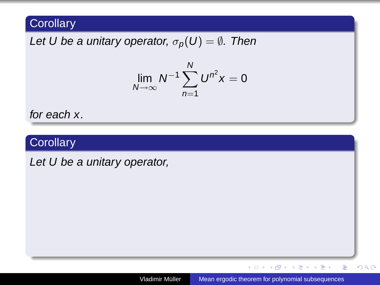Let U be a unitary operator,  $\sigma_p(U) = \emptyset$ . Then

$$
\lim_{N\to\infty}N^{-1}\sum_{n=1}^N U^{n^2}x=0
$$

for each x.

# **Corollary**

Let U be a unitary operator,

イロト イ団ト イヨト イヨト

 $\equiv$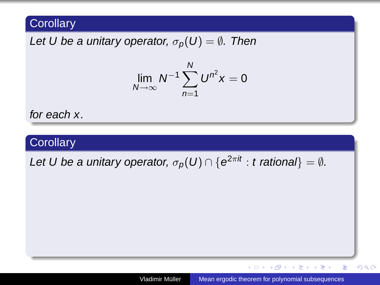Let U be a unitary operator,  $\sigma_p(U) = \emptyset$ . Then

$$
\lim_{N\to\infty}N^{-1}\sum_{n=1}^N U^{n^2}x=0
$$

for each x.

## **Corollary**

Let U be a unitary operator,  $\sigma_{\boldsymbol{p}}(\boldsymbol{U}) \cap \{ \boldsymbol{\mathrm{e}}^{2\pi i t} : t \text{ rational} \} = \emptyset.$ 

**K ロ ▶ K 何 ▶ K ヨ ▶ K ヨ ▶** 

 $\Rightarrow$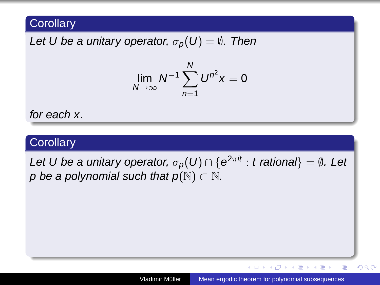Let U be a unitary operator,  $\sigma_p(U) = \emptyset$ . Then

$$
\lim_{N\to\infty}N^{-1}\sum_{n=1}^N U^{n^2}x=0
$$

for each x.

# **Corollary**

Let U be a unitary operator,  $\sigma_{\boldsymbol{\rho}}(\boldsymbol{U}) \cap \{ \boldsymbol{\mathrm{e}}^{2\pi i t}: t \text{ rational} \} = \emptyset.$  Let p be a polynomial such that  $p(N) \subset N$ .

 $\left\{ \begin{array}{ccc} 1 & 0 & 0 \\ 0 & 1 & 0 \end{array} \right.$ 

 $\equiv$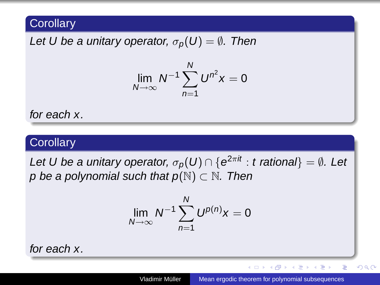Let U be a unitary operator,  $\sigma_p(U) = \emptyset$ . Then

$$
\lim_{N\to\infty}N^{-1}\sum_{n=1}^N U^{n^2}x=0
$$

for each x.

# **Corollary**

Let U be a unitary operator,  $\sigma_{\boldsymbol{\rho}}(\boldsymbol{U}) \cap \{ \boldsymbol{\mathrm{e}}^{2\pi i t}: t \text{ rational} \} = \emptyset.$  Let p be a polynomial such that  $p(\mathbb{N}) \subset \mathbb{N}$ . Then

$$
\lim_{N\to\infty}N^{-1}\sum_{n=1}^N U^{p(n)}x=0
$$

for each x.

イロメ 不優 トイヨメ イヨメー

 $\equiv$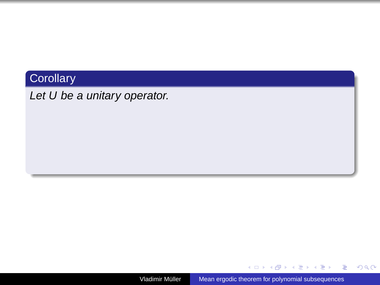Let U be a unitary operator.



 $4$  ロ }  $4$   $6$  }  $4$   $\pm$  }  $4$   $\pm$  }

重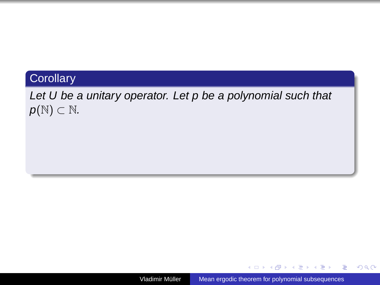# Let U be a unitary operator. Let p be a polynomial such that  $p(\mathbb{N}) \subset \mathbb{N}$ .

**K ロ ▶ K 何 ▶ K ヨ ▶ K ヨ ▶** 

 $\Rightarrow$  $2990$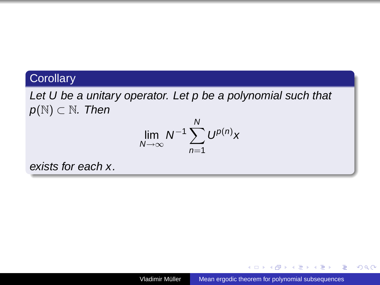Let U be a unitary operator. Let p be a polynomial such that  $p(\mathbb{N}) \subset \mathbb{N}$ . Then

$$
\lim_{N\to\infty}N^{-1}\sum_{n=1}^N U^{p(n)}x
$$

exists for each x.

モニー・モン イミン イヨン エミ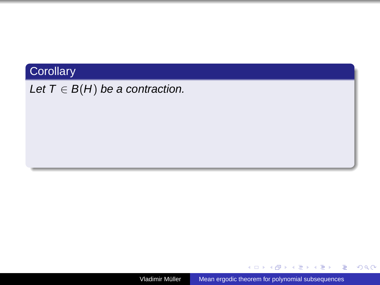Let  $T \in B(H)$  be a contraction.

Vladimir Müller [Mean ergodic theorem for polynomial subsequences](#page-0-0)

 $4$  ロ }  $4$   $6$  }  $4$   $\pm$  }  $4$   $\pm$  }

重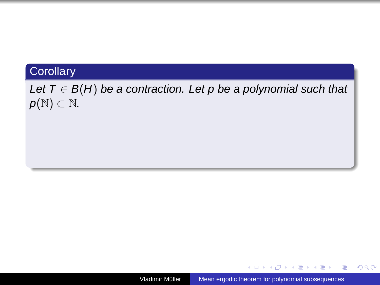# Let  $T \in B(H)$  be a contraction. Let p be a polynomial such that  $p(\mathbb{N}) \subset \mathbb{N}$ .

Vladimir Müller [Mean ergodic theorem for polynomial subsequences](#page-0-0)

イロト イ押 トイヨ トイヨ トー

 $\Rightarrow$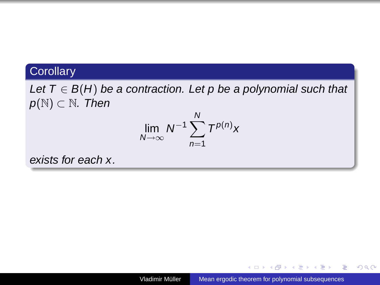Let  $T \in B(H)$  be a contraction. Let p be a polynomial such that  $p(\mathbb{N}) \subset \mathbb{N}$ . Then

$$
\lim_{N\to\infty}N^{-1}\sum_{n=1}^N T^{p(n)}x
$$

exists for each x.

イロト イ押 トイヨト イヨト 一重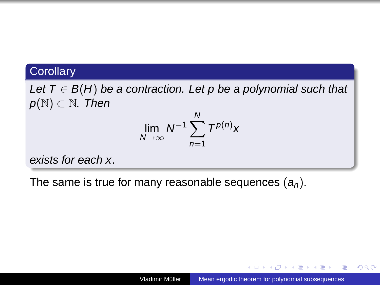Let  $T \in B(H)$  be a contraction. Let p be a polynomial such that  $p(\mathbb{N}) \subset \mathbb{N}$ . Then

$$
\lim_{N\to\infty}N^{-1}\sum_{n=1}^N T^{p(n)}x
$$

exists for each x.

The same is true for many reasonable sequences  $(a_n)$ .

◆ ロ ▶ → 伊 ▶ → ヨ ▶ → ヨ ▶ → ヨ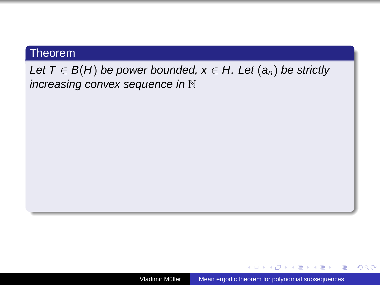# Let  $T \in B(H)$  be power bounded,  $x \in H$ . Let  $(a_n)$  be strictly increasing convex sequence in N

Vladimir Müller [Mean ergodic theorem for polynomial subsequences](#page-0-0)

イロメ イ押 メイヨメ イヨメ

B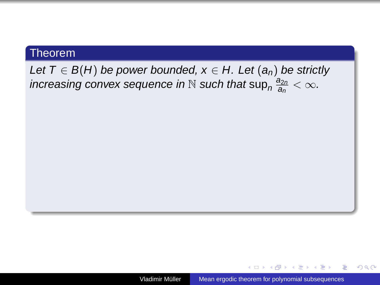Let  $T \in B(H)$  be power bounded,  $x \in H$ . Let  $(a_n)$  be strictly increasing convex sequence in  $\mathbb N$  such that sup<sub>n</sub>  $\frac{a_{2n}}{a_n}$  $\frac{a_{2n}}{a_n}<\infty$ .

イロメ イ押 メイヨメ イヨメ

B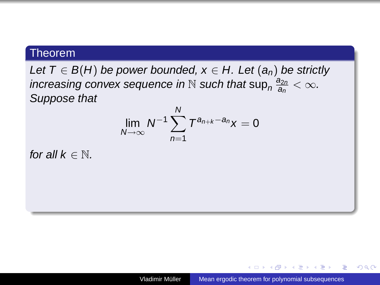Let  $T \in B(H)$  be power bounded,  $x \in H$ . Let  $(a_n)$  be strictly increasing convex sequence in  $\mathbb N$  such that sup<sub>n</sub>  $\frac{a_{2n}}{a_n}$  $\frac{a_{2n}}{a_n}<\infty$ . Suppose that

$$
\lim_{N\to\infty}N^{-1}\sum_{n=1}^N T^{a_{n+k}-a_n}x=0
$$

for all  $k \in \mathbb{N}$ .

**≮ロト ⊀伊 ▶ ⊀ ヨ ▶ ⊀ ヨ ▶** 

D.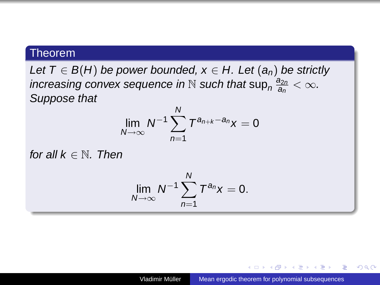Let  $T \in B(H)$  be power bounded,  $x \in H$ . Let  $(a_n)$  be strictly increasing convex sequence in  $\mathbb N$  such that sup<sub>n</sub>  $\frac{a_{2n}}{a_n}$  $\frac{a_{2n}}{a_n}<\infty$ . Suppose that

$$
\lim_{N\to\infty}N^{-1}\sum_{n=1}^N T^{a_{n+k}-a_n}x=0
$$

for all  $k \in \mathbb{N}$ . Then

$$
\lim_{N\to\infty}N^{-1}\sum_{n=1}^N T^{a_n}x=0.
$$

イロト イ押 トイヨ トイヨ トー

D.

 $QQ$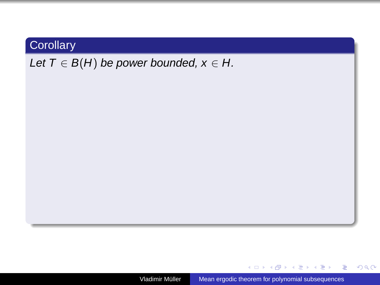Let  $T \in B(H)$  be power bounded,  $x \in H$ .

Vladimir Müller [Mean ergodic theorem for polynomial subsequences](#page-0-0)

 $4$  ロ }  $4$   $6$  }  $4$   $\pm$  }  $4$   $\pm$  }

重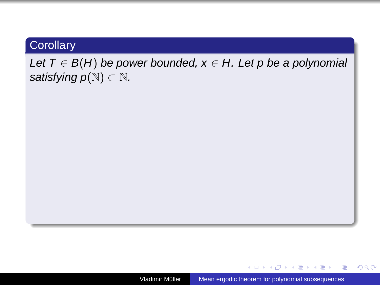Let  $T \in B(H)$  be power bounded,  $x \in H$ . Let p be a polynomial satisfying  $p(\mathbb{N}) \subset \mathbb{N}$ .

イロン イ押ン イヨン イヨン 一重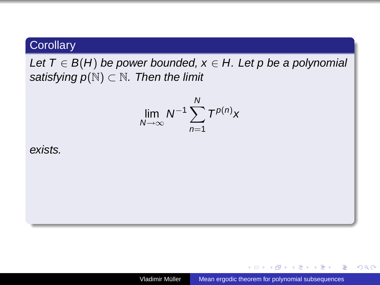Let  $T \in B(H)$  be power bounded,  $x \in H$ . Let p be a polynomial satisfying  $p(N) \subset N$ . Then the limit

$$
\lim_{N\to\infty}N^{-1}\sum_{n=1}^N T^{p(n)}x
$$

exists.

Vladimir Müller [Mean ergodic theorem for polynomial subsequences](#page-0-0)

 $\Rightarrow$ 

 $2Q$ 

**≮ロト ⊀伊 ▶ ⊀ ヨ ▶ ⊀ ヨ ▶**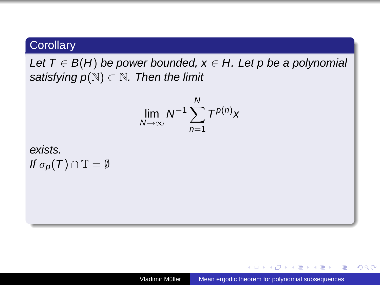Let  $T \in B(H)$  be power bounded,  $x \in H$ . Let p be a polynomial satisfying  $p(N) \subset N$ . Then the limit

$$
\lim_{N\to\infty}N^{-1}\sum_{n=1}^N T^{p(n)}x
$$

exists. If  $\sigma_p(T) \cap \mathbb{T} = \emptyset$ 

イロン イ何ン イヨン イヨン 一ヨー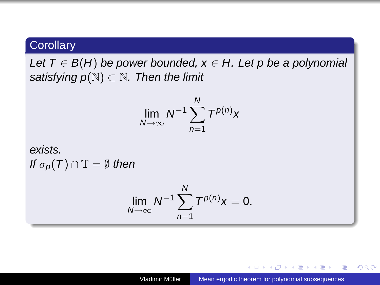Let  $T \in B(H)$  be power bounded,  $x \in H$ . Let p be a polynomial satisfying  $p(N) \subset N$ . Then the limit

$$
\lim_{N\to\infty}N^{-1}\sum_{n=1}^N T^{p(n)}x
$$

exists. If  $\sigma_p(T) \cap \mathbb{T} = \emptyset$  then

$$
\lim_{N \to \infty} N^{-1} \sum_{n=1}^{N} T^{p(n)} x = 0.
$$

イロン イ何ン イヨン イヨン 一ヨー

 $QQ$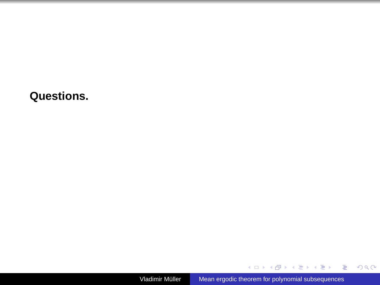# **Questions.**



K ロ ▶ K 御 ▶ K 聖 ▶ K 聖 ▶ │ 聖 │ 約 9 0 º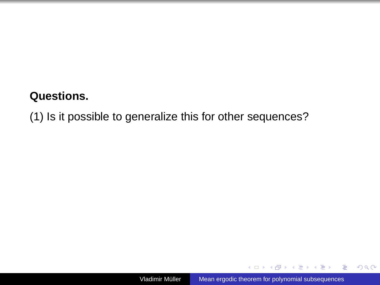### **Questions.**

(1) Is it possible to generalize this for other sequences?

4 0 8  $\leftarrow$   $A\equiv \mathbb{R} \Rightarrow A\equiv \mathbb{R}$ 

×

 $299$ 

B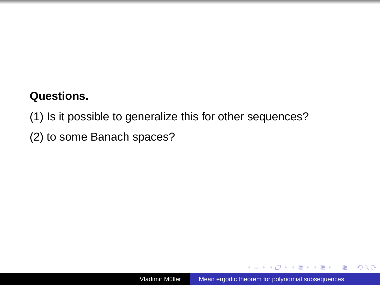### **Questions.**

- (1) Is it possible to generalize this for other sequences?
- (2) to some Banach spaces?

4 0 8 4 间  $299$ 

E

メミメメ ヨメ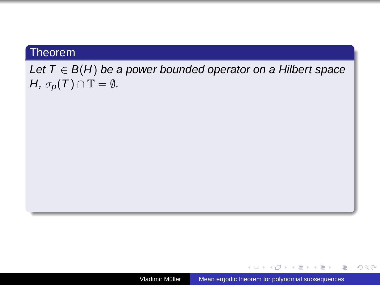# Let  $T \in B(H)$  be a power bounded operator on a Hilbert space  $H, \sigma_p(T) \cap \mathbb{T} = \emptyset.$

Vladimir Müller [Mean ergodic theorem for polynomial subsequences](#page-0-0)

イロト イ押 トイヨ トイヨ トー

 $\Rightarrow$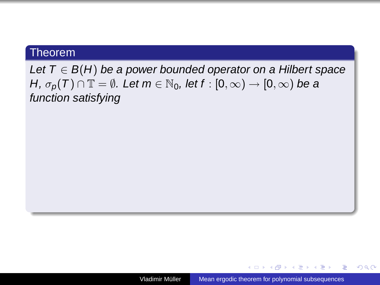Let  $T \in B(H)$  be a power bounded operator on a Hilbert space  $H, \sigma_p(T) \cap \mathbb{T} = \emptyset$ . Let  $m \in \mathbb{N}_0$ , let  $f : [0, \infty) \to [0, \infty)$  be a function satisfying

K ロ ▶ K 御 ▶ K ヨ ▶ K ヨ ▶ ...

D.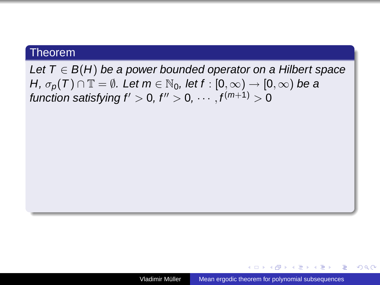Let  $T \in B(H)$  be a power bounded operator on a Hilbert space  $H, \sigma_p(T) \cap \mathbb{T} = \emptyset$ . Let  $m \in \mathbb{N}_0$ , let  $f : [0, \infty) \to [0, \infty)$  be a function satisfying f'  $>$  0, f"  $>$  0,  $\cdots$  , f $^{(m+1)}$   $>$  0

K ロ ▶ K 御 ▶ K 君 ▶ K 君 ▶ ...

D.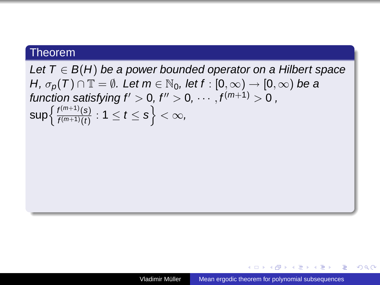Let  $T \in B(H)$  be a power bounded operator on a Hilbert space  $H, \sigma_p(T) \cap \mathbb{T} = \emptyset$ . Let  $m \in \mathbb{N}_0$ , let  $f : [0, \infty) \to [0, \infty)$  be a function satisfying f′  $>$  0, f″  $>$  0,  $\cdots$  , f<sup>(m+1)</sup>  $>$  0 ,  $\sup\left\{\frac{f^{(m+1)}(s)}{f^{(m+1)}(t)}\right\}$  $\frac{f^{(m+1)}(s)}{f^{(m+1)}(t)}:1\leq t\leq s\Big\}<\infty,$ 

◆ ロ ▶ → 伊 ▶ → ヨ ▶ → ヨ ▶ │ ヨ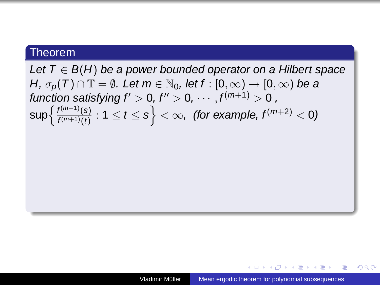Let  $T \in B(H)$  be a power bounded operator on a Hilbert space  $H, \sigma_p(T) \cap \mathbb{T} = \emptyset$ . Let  $m \in \mathbb{N}_0$ , let  $f : [0, \infty) \to [0, \infty)$  be a function satisfying f′  $>$  0, f″  $>$  0,  $\cdots$  , f<sup>(m+1)</sup>  $>$  0 ,  $\sup\left\{\frac{f^{(m+1)}(s)}{f^{(m+1)}(t)}\right\}$  $\frac{f^{(m+1)}(s)}{f^{(m+1)}(t)}: 1\leq t\leq s\Big\} <\infty,~~\text{(for example, }f^{(m+2)}< 0\text{)}$ 

◆ ロ ▶ → 伊 ▶ → ヨ ▶ → ヨ ▶ │ ヨ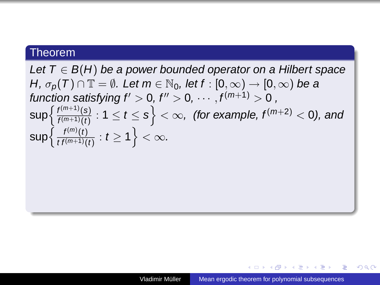Let  $T \in B(H)$  be a power bounded operator on a Hilbert space  $H$ ,  $\sigma_p(T) \cap \mathbb{T} = \emptyset$ . Let  $m \in \mathbb{N}_0$ , let  $f : [0, \infty) \to [0, \infty)$  be a function satisfying f′  $>$  0, f″  $>$  0,  $\cdots$  , f<sup>(m+1)</sup>  $>$  0 ,  $\sup\left\{\frac{f^{(m+1)}(s)}{f^{(m+1)}(t)}\right\}$  $\frac{f^{(m+1)}(s)}{f^{(m+1)}(t)}:1\leq t\leq s\Big\}<\infty$ , (for example,  $f^{(m+2)}< 0$ ), and  $\sup\left\{\frac{f^{(m)}(t)}{f^{(m+1)}(t)}\right\}$  $\frac{f^{(m)}(t)}{t\,f^{(m+1)}(t)}: t\geq 1\Big\} <\infty.$ 

メ御 トメ ヨ トメ ヨ トー

B

つへへ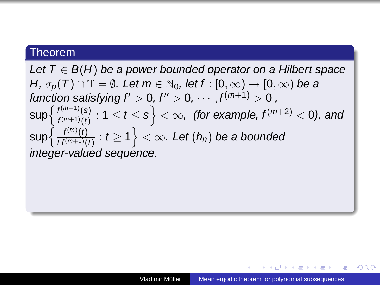Let  $T \in B(H)$  be a power bounded operator on a Hilbert space  $H$ ,  $\sigma_p(T) \cap \mathbb{T} = \emptyset$ . Let  $m \in \mathbb{N}_0$ , let  $f : [0, \infty) \to [0, \infty)$  be a function satisfying f′  $>$  0, f″  $>$  0,  $\cdots$  , f<sup>(m+1)</sup>  $>$  0 ,  $\sup\left\{\frac{f^{(m+1)}(s)}{f^{(m+1)}(t)}\right\}$  $\frac{f^{(m+1)}(s)}{f^{(m+1)}(t)}:1\leq t\leq s\Big\}<\infty$ , (for example,  $f^{(m+2)}< 0$ ), and  $\sup\left\{\frac{f^{(m)}(t)}{f^{(m+1)}(t)}\right\}$  $\left\{\frac{f^{(m)}(t)}{t\,f^{(m+1)}(t)}:t\geq 1\right\}<\infty.$  Let  $(h_n)$  be a bounded integer-valued sequence.

K ロ ▶ K 御 ▶ K 君 ▶ K 君 ▶ ...

B

つへへ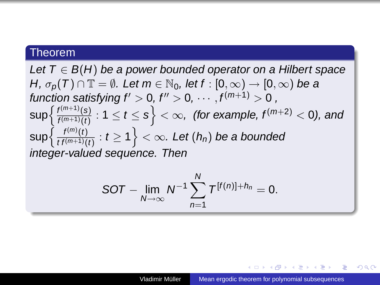Let  $T \in B(H)$  be a power bounded operator on a Hilbert space  $H$ ,  $\sigma_p(T) \cap \mathbb{T} = \emptyset$ . Let  $m \in \mathbb{N}_0$ , let  $f : [0, \infty) \to [0, \infty)$  be a function satisfying f′  $>$  0, f″  $>$  0,  $\cdots$  , f<sup>(m+1)</sup>  $>$  0 ,  $\sup\left\{\frac{f^{(m+1)}(s)}{f^{(m+1)}(t)}\right\}$  $\frac{f^{(m+1)}(s)}{f^{(m+1)}(t)}: 1\leq t\leq s\Big\} < \infty$ , (for example,  $f^{(m+2)} < 0$ ), and  $\sup\left\{\frac{f^{(m)}(t)}{f^{(m+1)}(t)}\right\}$  $\left\{\frac{f^{(m)}(t)}{t\,f^{(m+1)}(t)}:t\geq 1\right\}<\infty.$  Let  $(h_n)$  be a bounded integer-valued sequence. Then

$$
SOT - \lim_{N \to \infty} N^{-1} \sum_{n=1}^{N} T^{[f(n)] + h_n} = 0.
$$

K ロ ▶ K 御 ▶ K 君 ▶ K 君 ▶ ...

B

つへへ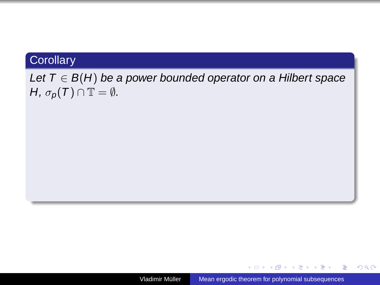Let  $T \in B(H)$  be a power bounded operator on a Hilbert space  $H, \sigma_p(T) \cap \mathbb{T} = \emptyset.$ 

Vladimir Müller [Mean ergodic theorem for polynomial subsequences](#page-0-0)

イロン イ押ン イヨン イヨン 一重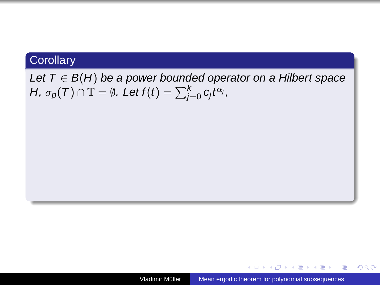Let  $T \in B(H)$  be a power bounded operator on a Hilbert space  $H$ ,  $\sigma_{\rho}(\mathcal{T}) \cap \mathbb{T} = \emptyset$ . Let  $f(t) = \sum_{j=0}^k c_j t^{\alpha_j}$ ,

÷.

 $2Q$ 

**≮ロ ▶ ⊀ 御 ▶ ⊀ ヨ ▶ ⊀ ヨ ▶**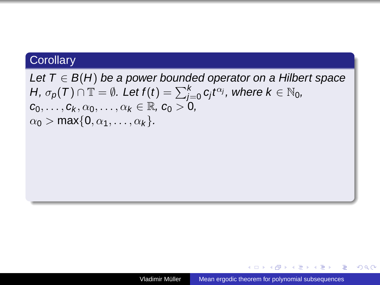Let  $T \in B(H)$  be a power bounded operator on a Hilbert space H,  $\sigma_{\rho}(\mathcal{T})\cap\mathbb{T}=\emptyset.$  Let  $f(t)=\sum_{j=0}^k c_jt^{\alpha_j},$  where  $k\in\mathbb{N}_0,$  $c_0, \ldots, c_k, \alpha_0, \ldots, \alpha_k \in \mathbb{R}, c_0 > 0,$  $\alpha_0 > \max\{0, \alpha_1, \ldots, \alpha_k\}.$ 

K 何 ▶ K ヨ ▶ K ヨ ▶ ...

÷.  $QQ$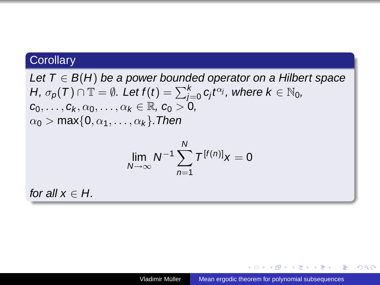Let  $T \in B(H)$  be a power bounded operator on a Hilbert space H,  $\sigma_{\rho}(\mathcal{T})\cap\mathbb{T}=\emptyset.$  Let  $f(t)=\sum_{j=0}^k c_jt^{\alpha_j},$  where  $k\in\mathbb{N}_0,$  $c_0, \ldots, c_k, \alpha_0, \ldots, \alpha_k \in \mathbb{R}, c_0 > 0$ ,  $\alpha_0 > \max\{0, \alpha_1, \ldots, \alpha_k\}$ . Then

$$
\lim_{N \to \infty} N^{-1} \sum_{n=1}^{N} T^{[f(n)]} x = 0
$$

for all  $x \in H$ .

4 0 8

K 何 ▶ K ヨ ▶ K ヨ ▶ ...

÷.  $QQ$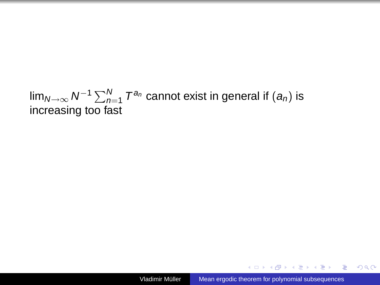# lim $_{N\rightarrow\infty}$   $N^{-1}\sum_{n=1}^{N}$   $\mathcal{T}^{a_{n}}$  cannot exist in general if  $(a_{n})$  is increasing too fast

KOD KARD KED KED E VONO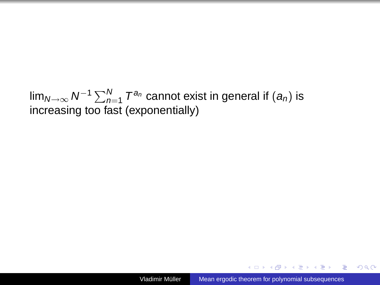lim $_{N\rightarrow\infty}$   $N^{-1}\sum_{n=1}^{N}$   $\mathcal{T}^{a_{n}}$  cannot exist in general if  $(a_{n})$  is increasing too fast (exponentially)

KOD KARD KED KED E VONO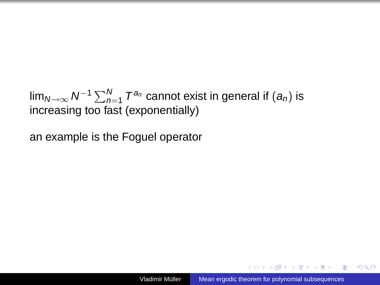lim $_{N\rightarrow\infty}$   $N^{-1}\sum_{n=1}^{N}$   $\mathcal{T}^{a_{n}}$  cannot exist in general if  $(a_{n})$  is increasing too fast (exponentially)

an example is the Foguel operator

KOD KARD KED KED E YOKA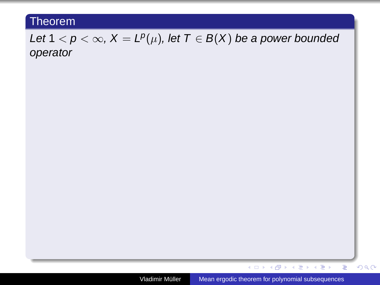# Let 1  $<$  p  $<$   $\infty$ ,  $X = L^p(\mu)$ , let  $T \in B(X)$  be a power bounded operator

 $(1 - 4)$   $(1 - 4)$   $(1 - 4)$   $(1 - 4)$   $(1 - 4)$   $(1 - 4)$   $(1 - 4)$   $(1 - 4)$   $(1 - 4)$   $(1 - 4)$   $(1 - 4)$   $(1 - 4)$   $(1 - 4)$   $(1 - 4)$   $(1 - 4)$   $(1 - 4)$   $(1 - 4)$   $(1 - 4)$   $(1 - 4)$   $(1 - 4)$   $(1 - 4)$   $(1 - 4)$   $(1 - 4)$   $(1 - 4)$   $(1 -$ 

重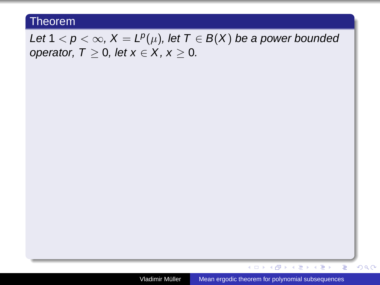Let 1  $<$  p  $<$   $\infty$ ,  $X = L^p(\mu)$ , let  $T \in B(X)$  be a power bounded operator,  $T > 0$ , let  $x \in X$ ,  $x > 0$ .

イロト イ押ト イヨト イヨト

 $\Rightarrow$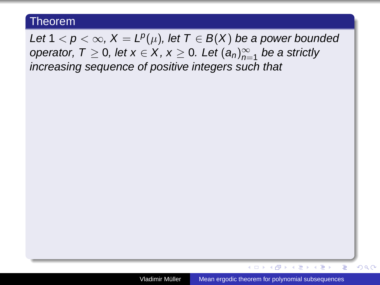Let 1  $<$  p  $<$   $\infty$ ,  $X = L^p(\mu)$ , let  $T \in B(X)$  be a power bounded operator,  $T\geq 0$ , let  $x\in X$ ,  $x\geq 0$ . Let  $(a_{n})_{n=1}^{\infty}$  be a strictly increasing sequence of positive integers such that

4 ロ > 3 何 > 3 日 > 3 日 >

÷,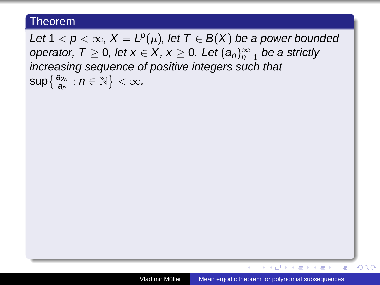Let 1  $<$  p  $<$   $\infty$ ,  $X = L^p(\mu)$ , let  $T \in B(X)$  be a power bounded operator,  $T\geq 0$ , let  $x\in X$ ,  $x\geq 0$ . Let  $(a_{n})_{n=1}^{\infty}$  be a strictly increasing sequence of positive integers such that  $\sup\bigl\{\frac{\textit{a}_{2n}}{\textit{a}_{n}}:n\in\mathbb{N}\bigr\}<\infty.$ 

4 ロ > 3 何 > 3 日 > 3 日 >

÷,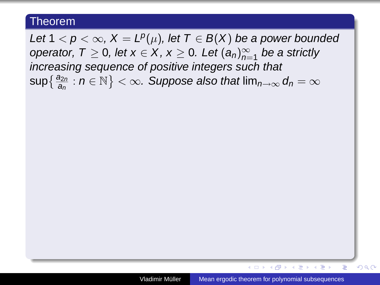Let 1  $<$  p  $<$   $\infty$ ,  $X = L^p(\mu)$ , let  $T \in B(X)$  be a power bounded operator,  $T\geq 0$ , let  $x\in X$ ,  $x\geq 0$ . Let  $(a_{n})_{n=1}^{\infty}$  be a strictly increasing sequence of positive integers such that  $\sup\{\frac{a_{2n}}{a_n}:n\in\mathbb{N}\}<\infty.$  Suppose also that  $\lim_{n\to\infty}d_n=\infty$ 

4 ロ > 3 何 > 3 日 > 3 日 >

D.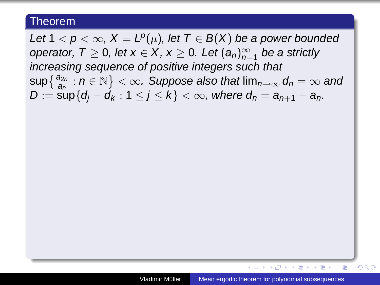Let 1  $<$  p  $<$   $\infty$ ,  $X = L^p(\mu)$ , let  $T \in B(X)$  be a power bounded operator,  $T\geq 0$ , let  $x\in X$ ,  $x\geq 0$ . Let  $(a_{n})_{n=1}^{\infty}$  be a strictly increasing sequence of positive integers such that  $\sup\left\{\frac{a_{2n}}{a_n}:n\in\mathbb{N}\right\}<\infty.$  Suppose also that  $\lim_{n\to\infty}d_n=\infty$  and  $D := \sup\{d_i - d_k : 1 \leq j \leq k\} < \infty$ , where  $d_n = a_{n+1} - a_n$ .

イロメ イ押 メイヨメ イヨメ

D.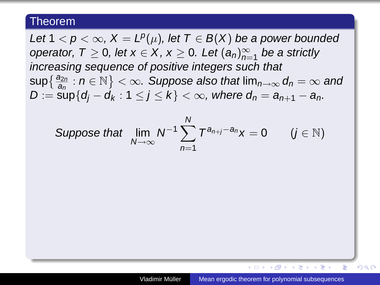Let 1  $<$  p  $<$   $\infty$ ,  $X = L^p(\mu)$ , let  $T \in B(X)$  be a power bounded operator,  $T\geq 0$ , let  $x\in X$ ,  $x\geq 0$ . Let  $(a_{n})_{n=1}^{\infty}$  be a strictly increasing sequence of positive integers such that  $\sup\left\{\frac{a_{2n}}{a_n}:n\in\mathbb{N}\right\}<\infty.$  Suppose also that  $\lim_{n\to\infty}d_n=\infty$  and  $D := \sup\{d_i - d_k : 1 \leq j \leq k\} < \infty$ , where  $d_n = a_{n+1} - a_n$ .

Suppose that 
$$
\lim_{N \to \infty} N^{-1} \sum_{n=1}^{N} T^{a_{n+j}-a_n} x = 0
$$
  $(j \in \mathbb{N})$ 

イロメ イ押 メイヨメ イヨメ

E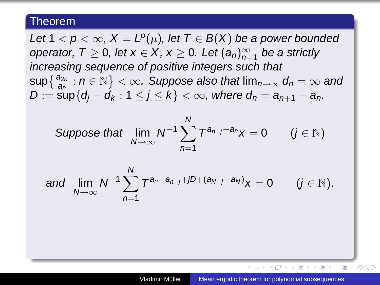Let 1  $<$  p  $<$   $\infty$ ,  $X = L^p(\mu)$ , let  $T \in B(X)$  be a power bounded operator,  $T\geq 0$ , let  $x\in X$ ,  $x\geq 0$ . Let  $(a_{n})_{n=1}^{\infty}$  be a strictly increasing sequence of positive integers such that  $\sup\left\{\frac{a_{2n}}{a_n}:n\in\mathbb{N}\right\}<\infty.$  Suppose also that  $\lim_{n\to\infty}d_n=\infty$  and  $D := \sup\{d_i - d_k : 1 \leq j \leq k\} < \infty$ , where  $d_n = a_{n+1} - a_n$ .

Suppose that 
$$
\lim_{N \to \infty} N^{-1} \sum_{n=1}^{N} T^{a_{n+j}-a_n} x = 0
$$
  $(j \in \mathbb{N})$ 

and 
$$
\lim_{N\to\infty}N^{-1}\sum_{n=1}^N T^{a_n-a_{n+j}+jD+(a_{N+j}-a_N)}x=0 \qquad (j\in\mathbb{N}).
$$

4 ロ ) (何 ) (日 ) (日 )

E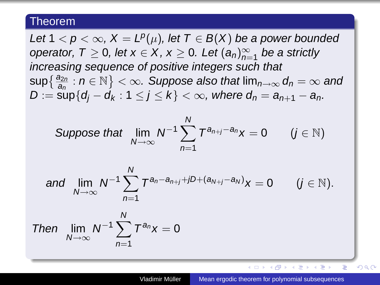Let 1  $<$  p  $<$   $\infty$ ,  $X = L^p(\mu)$ , let  $T \in B(X)$  be a power bounded operator,  $T\geq 0$ , let  $x\in X$ ,  $x\geq 0$ . Let  $(a_{n})_{n=1}^{\infty}$  be a strictly increasing sequence of positive integers such that  $\sup\left\{\frac{a_{2n}}{a_n}:n\in\mathbb{N}\right\}<\infty.$  Suppose also that  $\lim_{n\to\infty}d_n=\infty$  and  $D := \sup\{d_i - d_k : 1 \leq j \leq k\} < \infty$ , where  $d_n = a_{n+1} - a_n$ .

Suppose that 
$$
\lim_{N \to \infty} N^{-1} \sum_{n=1}^{N} T^{a_{n+j}-a_n} x = 0
$$
  $(j \in \mathbb{N})$ 

and 
$$
\lim_{N\to\infty} N^{-1} \sum_{n=1}^N T^{a_n-a_{n+j}+jD+(a_{N+j}-a_N)}x=0 \qquad (j\in\mathbb{N}).
$$

Then 
$$
\lim_{N \to \infty} N^{-1} \sum_{n=1}^{N} T^{a_n} x = 0
$$

4 ロ ) (何 ) (日 ) (日 )

E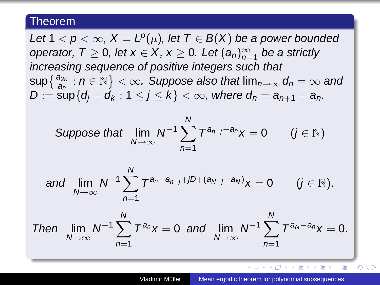Let 1  $<$  p  $<$   $\infty$ ,  $X = L^p(\mu)$ , let  $T \in B(X)$  be a power bounded operator,  $T\geq 0$ , let  $x\in X$ ,  $x\geq 0$ . Let  $(a_{n})_{n=1}^{\infty}$  be a strictly increasing sequence of positive integers such that  $\sup\left\{\frac{a_{2n}}{a_n}:n\in\mathbb{N}\right\}<\infty.$  Suppose also that  $\lim_{n\to\infty}d_n=\infty$  and  $D := \sup\{d_i - d_k : 1 \leq j \leq k\} < \infty$ , where  $d_n = a_{n+1} - a_n$ .

Suppose that 
$$
\lim_{N \to \infty} N^{-1} \sum_{n=1}^{N} T^{a_{n+j}-a_n} x = 0
$$
  $(j \in \mathbb{N})$ 

and 
$$
\lim_{N\to\infty} N^{-1} \sum_{n=1}^N T^{a_n-a_{n+j}+jD+(a_{N+j}-a_N)}x=0 \qquad (j\in\mathbb{N}).
$$

Then 
$$
\lim_{N \to \infty} N^{-1} \sum_{n=1}^{N} T^{a_n} x = 0
$$
 and  $\lim_{N \to \infty} N^{-1} \sum_{n=1}^{N} T^{a_N - a_n} x = 0$ .

イロメ イ押 メイヨメ イヨメ

E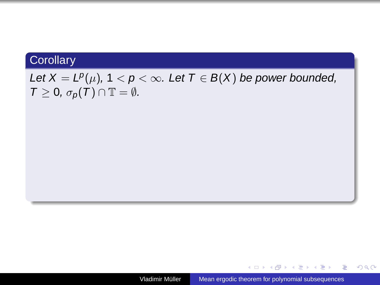Let  $X = L^p(\mu)$ ,  $1 < p < \infty$ . Let  $T \in B(X)$  be power bounded,  $T \geq 0$ ,  $\sigma_p(T) \cap \mathbb{T} = \emptyset$ .

Vladimir Müller [Mean ergodic theorem for polynomial subsequences](#page-0-0)

モニー・モン イミン イヨン エミ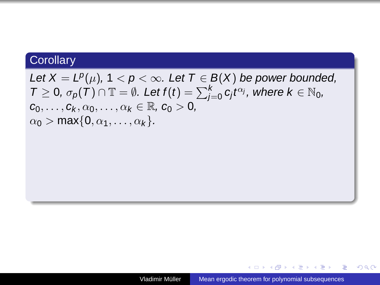Let  $X = L^p(\mu)$ ,  $1 < p < \infty$ . Let  $T \in B(X)$  be power bounded,  $T\geq 0$ ,  $\sigma_p(T)\cap \mathbb{T}=\emptyset$ . Let  $f(t)=\sum_{j=0}^kc_jt^{\alpha_j}$ , where  $k\in \mathbb{N}_0$ ,  $c_0, \ldots, c_k, \alpha_0, \ldots, \alpha_k \in \mathbb{R}, c_0 > 0$  $\alpha_0 > \max\{0, \alpha_1, \ldots, \alpha_k\}.$ 

イ伊 メ ミ メ ス ヨ メ ニヨ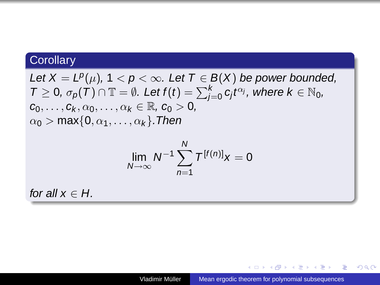Let  $X = L^p(\mu)$ ,  $1 < p < \infty$ . Let  $T \in B(X)$  be power bounded,  $T\geq 0$ ,  $\sigma_p(T)\cap \mathbb{T}=\emptyset$ . Let  $f(t)=\sum_{j=0}^kc_jt^{\alpha_j}$ , where  $k\in \mathbb{N}_0$ ,  $c_0, \ldots, c_k, \alpha_0, \ldots, \alpha_k \in \mathbb{R}, c_0 > 0$  $\alpha_0 > \max\{0, \alpha_1, \ldots, \alpha_k\}$ . Then

$$
\lim_{N \to \infty} N^{-1} \sum_{n=1}^{N} T^{[f(n)]} x = 0
$$

for all  $x \in H$ .

K ロ ▶ K 御 ▶ K ヨ ▶ K ヨ ▶ ...

D.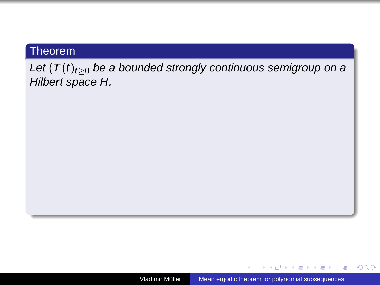Let  $(T(t)<sub>t>0</sub>$  be a bounded strongly continuous semigroup on a Hilbert space H.

◆ロ→ ◆伊→ ◆ミ→ →ミ→ ニヨー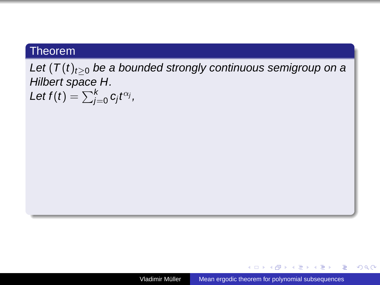Let  $(T(t)<sub>t>0</sub>$  be a bounded strongly continuous semigroup on a Hilbert space H. Let  $f(t) = \sum_{j=0}^k c_j t^{\alpha_j}$ ,

◆ロ→ ◆伊→ ◆ミ→ →ミ→ ニヨー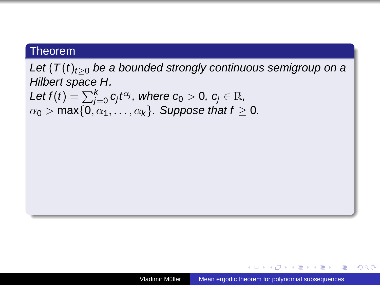Let  $(T(t)<sub>t>0</sub>$  be a bounded strongly continuous semigroup on a Hilbert space H. Let  $f(t)=\sum_{j=0}^k c_j t^{\alpha_j}$ , where  $c_0>0,$   $c_j\in\mathbb{R},$  $\alpha_0 > \max\{0, \alpha_1, \ldots, \alpha_k\}$ . Suppose that  $f > 0$ .

モニー・モン イミン イヨン エミ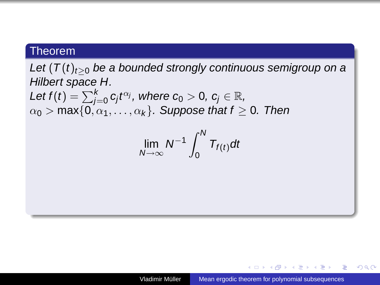Let  $(T(t)<sub>t>0</sub>$  be a bounded strongly continuous semigroup on a Hilbert space H. Let  $f(t)=\sum_{j=0}^k c_j t^{\alpha_j}$ , where  $c_0>0,$   $c_j\in\mathbb{R},$  $\alpha_0 > \max\{0, \alpha_1, \ldots, \alpha_k\}$ . Suppose that  $f \geq 0$ . Then

$$
\lim_{N\to\infty}N^{-1}\int_0^N T_{f(t)}dt
$$

◆ ロ ▶ ◆ 伊 ▶ ◆ ヨ ▶ → ヨ ▶ │ ヨ │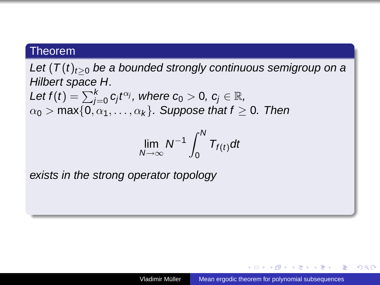Let  $(T(t)<sub>t>0</sub>$  be a bounded strongly continuous semigroup on a Hilbert space H. Let  $f(t)=\sum_{j=0}^k c_j t^{\alpha_j}$ , where  $c_0>0,$   $c_j\in\mathbb{R},$  $\alpha_0 > \max\{0, \alpha_1, \ldots, \alpha_k\}$ . Suppose that  $f \geq 0$ . Then

$$
\lim_{N\to\infty}N^{-1}\int_0^N T_{f(t)}dt
$$

exists in the strong operator topology

イロト イ押 トイヨ トイヨ トーヨー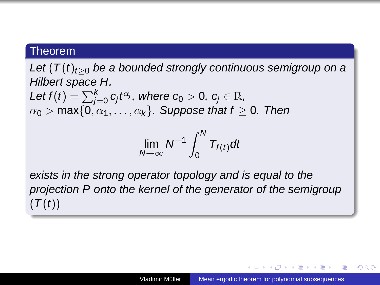Let  $(T(t)<sub>t>0</sub>$  be a bounded strongly continuous semigroup on a Hilbert space H. Let  $f(t)=\sum_{j=0}^k c_j t^{\alpha_j}$ , where  $c_0>0,$   $c_j\in\mathbb{R},$  $\alpha_0 > \max\{0, \alpha_1, \ldots, \alpha_k\}$ . Suppose that  $f > 0$ . Then

$$
\lim_{N\to\infty}N^{-1}\int_0^N T_{f(t)}dt
$$

exists in the strong operator topology and is equal to the projection P onto the kernel of the generator of the semigroup  $(T(t))$ 

◆ ロ ▶ → 伊 ▶ → ヨ ▶ → ヨ ▶ │ ヨ